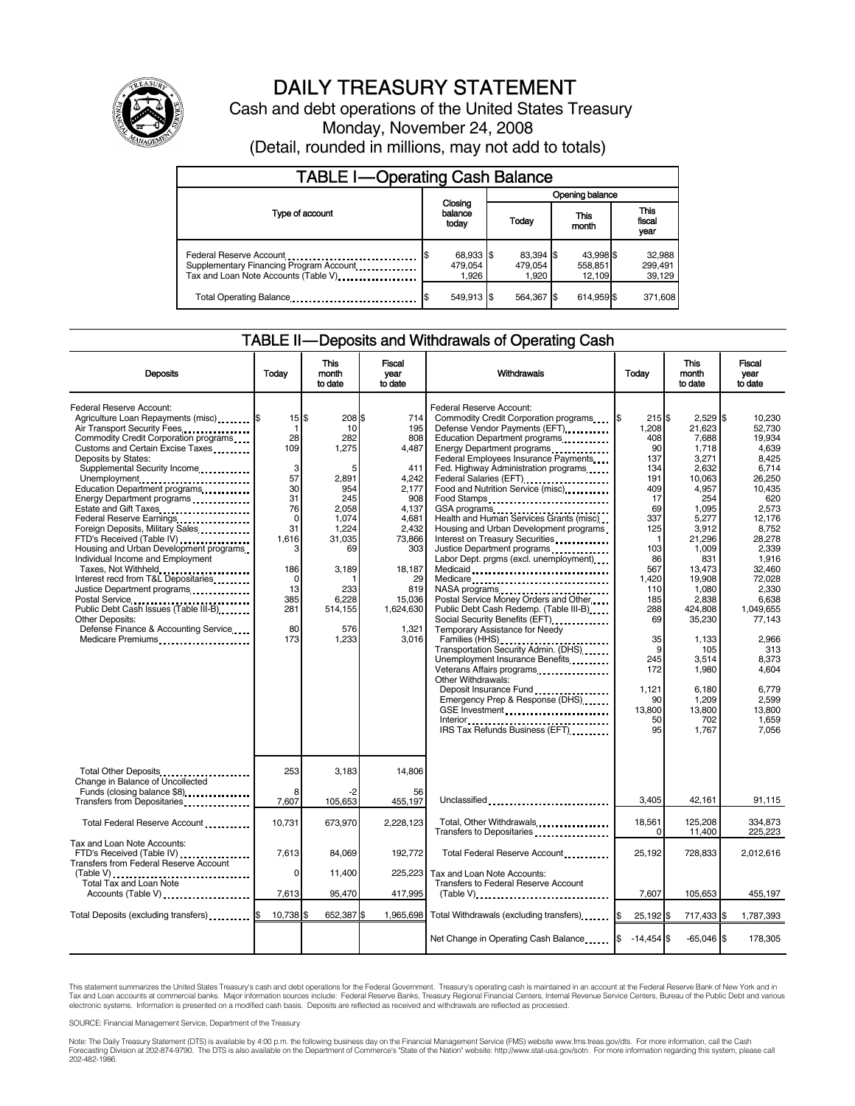

# DAILY TREASURY STATEMENT

Cash and debt operations of the United States Treasury Monday, November 24, 2008 (Detail, rounded in millions, may not add to totals)

| <b>TABLE I-Operating Cash Balance</b>                                                                      |                               |                               |                                |                               |  |  |  |
|------------------------------------------------------------------------------------------------------------|-------------------------------|-------------------------------|--------------------------------|-------------------------------|--|--|--|
|                                                                                                            |                               | Opening balance               |                                |                               |  |  |  |
| Type of account                                                                                            | Closing<br>balance<br>today   | Today                         | This<br>month                  | <b>This</b><br>fiscal<br>year |  |  |  |
| Federal Reserve Account<br>Supplementary Financing Program Account<br>Tax and Loan Note Accounts (Table V) | 68,933 \$<br>479,054<br>1.926 | 83,394 \$<br>479,054<br>1.920 | 43,998 \$<br>558,851<br>12.109 | 32,988<br>299,491<br>39,129   |  |  |  |
| Total Operating Balance                                                                                    | 549.913 \$                    | 564.367 \$                    | 614.959 \$                     | 371,608                       |  |  |  |

#### TABLE II — Deposits and Withdrawals of Operating Cash

| <b>Deposits</b>                                                                                                                                                                                                                                                                                                                                                                                                                                                                                                                                                                                                                                                                                                                                      | Today                                                                                                                                          | This<br>month<br>to date                                                                                                                                | Fiscal<br>vear<br>to date                                                                                                                                              | Withdrawals                                                                                                                                                                                                                                                                                                                                                                                                                                                                                                                                                                                                                                                                                                                                                                                                                                                                                                      | Today                                                                                                                                                                                                         | <b>This</b><br>month<br>to date                                                                                                                                                                                                                                                  | Fiscal<br>vear<br>to date                                                                                                                                                                                                                                                             |
|------------------------------------------------------------------------------------------------------------------------------------------------------------------------------------------------------------------------------------------------------------------------------------------------------------------------------------------------------------------------------------------------------------------------------------------------------------------------------------------------------------------------------------------------------------------------------------------------------------------------------------------------------------------------------------------------------------------------------------------------------|------------------------------------------------------------------------------------------------------------------------------------------------|---------------------------------------------------------------------------------------------------------------------------------------------------------|------------------------------------------------------------------------------------------------------------------------------------------------------------------------|------------------------------------------------------------------------------------------------------------------------------------------------------------------------------------------------------------------------------------------------------------------------------------------------------------------------------------------------------------------------------------------------------------------------------------------------------------------------------------------------------------------------------------------------------------------------------------------------------------------------------------------------------------------------------------------------------------------------------------------------------------------------------------------------------------------------------------------------------------------------------------------------------------------|---------------------------------------------------------------------------------------------------------------------------------------------------------------------------------------------------------------|----------------------------------------------------------------------------------------------------------------------------------------------------------------------------------------------------------------------------------------------------------------------------------|---------------------------------------------------------------------------------------------------------------------------------------------------------------------------------------------------------------------------------------------------------------------------------------|
| Federal Reserve Account:<br>Agriculture Loan Repayments (misc) <b>\$</b><br>Air Transport Security Fees<br>Commodity Credit Corporation programs<br>Customs and Certain Excise Taxes<br>Deposits by States:<br>Supplemental Security Income<br>Unemployment<br>Education Department programs<br>Energy Department programs<br>Estate and Gift Taxes<br>Federal Reserve Earnings<br>Foreign Deposits, Military Sales<br>FTD's Received (Table IV)<br>Housing and Urban Development programs<br>Individual Income and Employment<br>Taxes, Not Withheld<br>Interest recd from T&L Depositaries<br>Justice Department programs<br>Public Debt Cash Issues (Table III-B)<br>Other Deposits:<br>Defense Finance & Accounting Service<br>Medicare Premiums | $15$ \$<br>-1<br>28<br>109<br>3<br>57<br>30<br>31<br>76<br>$\mathbf 0$<br>31<br>1,616<br>3<br>186<br>$\Omega$<br>13<br>385<br>281<br>80<br>173 | 208 \$<br>10<br>282<br>1,275<br>5<br>2,891<br>954<br>245<br>2,058<br>1.074<br>1.224<br>31,035<br>69<br>3,189<br>233<br>6,228<br>514,155<br>576<br>1,233 | 714<br>195<br>808<br>4,487<br>411<br>4,242<br>2.177<br>908<br>4,137<br>4.681<br>2.432<br>73,866<br>303<br>18,187<br>29<br>819<br>15,036<br>1,624,630<br>1,321<br>3.016 | Federal Reserve Account:<br>Commodity Credit Corporation programs<br>Defense Vendor Payments (EFT)<br>Education Department programs<br>Energy Department programs<br>Federal Employees Insurance Payments<br>Fed. Highway Administration programs<br>Federal Salaries (EFT)<br>Food and Nutrition Service (misc)<br>Food Stamps<br>GSA programs<br>Health and Human Services Grants (misc)<br>Housing and Urban Development programs<br>Interest on Treasury Securities<br>Justice Department programs<br>Labor Dept. prgms (excl. unemployment)<br>Medicare<br>Postal Service Money Orders and Other<br>Public Debt Cash Redemp. (Table III-B)<br>Temporary Assistance for Needy<br>Families (HHS)<br>Transportation Security Admin. (DHS)<br>Unemployment Insurance Benefits<br>Veterans Affairs programs<br>Other Withdrawals:<br>Deposit Insurance Fund<br>Emergency Prep & Response (DHS)<br>GSE Investment | 215S<br>1\$<br>1,208<br>408<br>90<br>137<br>134<br>191<br>409<br>17<br>69<br>337<br>125<br>103<br>86<br>567<br>1.420<br>110<br>185<br>288<br>69<br>35<br>9<br>245<br>172<br>1,121<br>90<br>13,800<br>50<br>95 | $2,529$ \$<br>21.623<br>7,688<br>1,718<br>3,271<br>2.632<br>10,063<br>4.957<br>254<br>1.095<br>5,277<br>3.912<br>21,296<br>1,009<br>831<br>13,473<br>19.908<br>1,080<br>2,838<br>424,808<br>35,230<br>1,133<br>105<br>3,514<br>1,980<br>6,180<br>1.209<br>13,800<br>702<br>1,767 | 10,230<br>52.730<br>19.934<br>4.639<br>8.425<br>6.714<br>26.250<br>10.435<br>620<br>2.573<br>12.176<br>8.752<br>28,278<br>2,339<br>1,916<br>32,460<br>72,028<br>2,330<br>6.638<br>1.049.655<br>77,143<br>2.966<br>313<br>8,373<br>4.604<br>6,779<br>2.599<br>13,800<br>1.659<br>7,056 |
| Total Other Deposits<br>Change in Balance of Uncollected<br>Funds (closing balance \$8)                                                                                                                                                                                                                                                                                                                                                                                                                                                                                                                                                                                                                                                              | 253<br>8                                                                                                                                       | 3,183<br>-2                                                                                                                                             | 14,806<br>56                                                                                                                                                           |                                                                                                                                                                                                                                                                                                                                                                                                                                                                                                                                                                                                                                                                                                                                                                                                                                                                                                                  |                                                                                                                                                                                                               |                                                                                                                                                                                                                                                                                  |                                                                                                                                                                                                                                                                                       |
| Transfers from Depositaries                                                                                                                                                                                                                                                                                                                                                                                                                                                                                                                                                                                                                                                                                                                          | 7,607                                                                                                                                          | 105,653                                                                                                                                                 | 455,197                                                                                                                                                                | Unclassified                                                                                                                                                                                                                                                                                                                                                                                                                                                                                                                                                                                                                                                                                                                                                                                                                                                                                                     | 3.405                                                                                                                                                                                                         | 42,161                                                                                                                                                                                                                                                                           | 91,115                                                                                                                                                                                                                                                                                |
| Total Federal Reserve Account                                                                                                                                                                                                                                                                                                                                                                                                                                                                                                                                                                                                                                                                                                                        | 10,731                                                                                                                                         | 673,970                                                                                                                                                 | 2,228,123                                                                                                                                                              | Total, Other Withdrawals                                                                                                                                                                                                                                                                                                                                                                                                                                                                                                                                                                                                                                                                                                                                                                                                                                                                                         | 18,561<br>$\Omega$                                                                                                                                                                                            | 125,208<br>11,400                                                                                                                                                                                                                                                                | 334,873<br>225,223                                                                                                                                                                                                                                                                    |
| Tax and Loan Note Accounts:<br>FTD's Received (Table IV)<br><b>Transfers from Federal Reserve Account</b>                                                                                                                                                                                                                                                                                                                                                                                                                                                                                                                                                                                                                                            | 7,613                                                                                                                                          | 84,069                                                                                                                                                  | 192,772                                                                                                                                                                | Total Federal Reserve Account                                                                                                                                                                                                                                                                                                                                                                                                                                                                                                                                                                                                                                                                                                                                                                                                                                                                                    | 25,192                                                                                                                                                                                                        | 728,833                                                                                                                                                                                                                                                                          | 2,012,616                                                                                                                                                                                                                                                                             |
| $(Table V)$<br><br>Total Tax and Loan Note<br>Accounts (Table V)                                                                                                                                                                                                                                                                                                                                                                                                                                                                                                                                                                                                                                                                                     | 0<br>7,613                                                                                                                                     | 11.400<br>95,470                                                                                                                                        | 225.223<br>417,995                                                                                                                                                     | Tax and Loan Note Accounts:<br>Transfers to Federal Reserve Account<br>$(Table V)$                                                                                                                                                                                                                                                                                                                                                                                                                                                                                                                                                                                                                                                                                                                                                                                                                               | 7.607                                                                                                                                                                                                         | 105,653                                                                                                                                                                                                                                                                          | 455,197                                                                                                                                                                                                                                                                               |
|                                                                                                                                                                                                                                                                                                                                                                                                                                                                                                                                                                                                                                                                                                                                                      |                                                                                                                                                |                                                                                                                                                         |                                                                                                                                                                        |                                                                                                                                                                                                                                                                                                                                                                                                                                                                                                                                                                                                                                                                                                                                                                                                                                                                                                                  |                                                                                                                                                                                                               |                                                                                                                                                                                                                                                                                  |                                                                                                                                                                                                                                                                                       |
| Total Deposits (excluding transfers)                                                                                                                                                                                                                                                                                                                                                                                                                                                                                                                                                                                                                                                                                                                 | 10,738                                                                                                                                         | 652,387                                                                                                                                                 | 1,965,698                                                                                                                                                              | Total Withdrawals (excluding transfers) [\$                                                                                                                                                                                                                                                                                                                                                                                                                                                                                                                                                                                                                                                                                                                                                                                                                                                                      | 25,192 \$                                                                                                                                                                                                     | 717,433 \$                                                                                                                                                                                                                                                                       | 1,787,393                                                                                                                                                                                                                                                                             |
|                                                                                                                                                                                                                                                                                                                                                                                                                                                                                                                                                                                                                                                                                                                                                      |                                                                                                                                                |                                                                                                                                                         |                                                                                                                                                                        | Net Change in Operating Cash Balance                                                                                                                                                                                                                                                                                                                                                                                                                                                                                                                                                                                                                                                                                                                                                                                                                                                                             | $$ -14,454$ \$                                                                                                                                                                                                | $-65.046$ \$                                                                                                                                                                                                                                                                     | 178,305                                                                                                                                                                                                                                                                               |

This statement summarizes the United States Treasury's cash and debt operations for the Federal Government. Treasury's operating cash is maintained in an account at the Federal Reserve Bank of New York and in<br>Tax and Loan

SOURCE: Financial Management Service, Department of the Treasury

Note: The Daily Treasury Statement (DTS) is available by 4:00 p.m. the following business day on the Financial Management Service (FMS) website www.fms.treas.gov/dts. For more information, call the Cash<br>Forecasting Divisio eas.gov/dts. F<br>For more infor